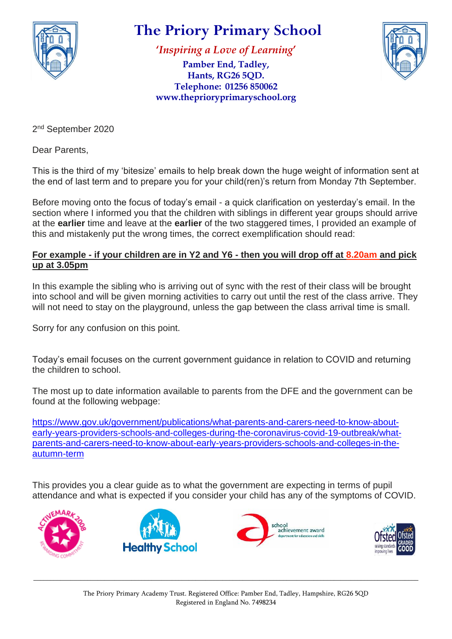

## **The Priory Primary School**

**'***Inspiring a Love of Learning***'**

**Pamber End, Tadley, Hants, RG26 5QD. Telephone: 01256 850062 www.theprioryprimaryschool.org**



2<sup>nd</sup> September 2020

Dear Parents,

This is the third of my 'bitesize' emails to help break down the huge weight of information sent at the end of last term and to prepare you for your child(ren)'s return from Monday 7th September.

Before moving onto the focus of today's email - a quick clarification on yesterday's email. In the section where I informed you that the children with siblings in different year groups should arrive at the **earlier** time and leave at the **earlier** of the two staggered times, I provided an example of this and mistakenly put the wrong times, the correct exemplification should read:

## **For example - if your children are in Y2 and Y6 - then you will drop off at 8.20am and pick up at 3.05pm**

In this example the sibling who is arriving out of sync with the rest of their class will be brought into school and will be given morning activities to carry out until the rest of the class arrive. They will not need to stay on the playground, unless the gap between the class arrival time is small.

Sorry for any confusion on this point.

Today's email focuses on the current government guidance in relation to COVID and returning the children to school.

The most up to date information available to parents from the DFE and the government can be found at the following webpage:

[https://www.gov.uk/government/publications/what-parents-and-carers-need-to-know-about](https://www.gov.uk/government/publications/what-parents-and-carers-need-to-know-about-early-years-providers-schools-and-colleges-during-the-coronavirus-covid-19-outbreak/what-parents-and-carers-need-to-know-about-early-years-providers-schools-and-colleges-in-the-autumn-term)[early-years-providers-schools-and-colleges-during-the-coronavirus-covid-19-outbreak/what](https://www.gov.uk/government/publications/what-parents-and-carers-need-to-know-about-early-years-providers-schools-and-colleges-during-the-coronavirus-covid-19-outbreak/what-parents-and-carers-need-to-know-about-early-years-providers-schools-and-colleges-in-the-autumn-term)[parents-and-carers-need-to-know-about-early-years-providers-schools-and-colleges-in-the](https://www.gov.uk/government/publications/what-parents-and-carers-need-to-know-about-early-years-providers-schools-and-colleges-during-the-coronavirus-covid-19-outbreak/what-parents-and-carers-need-to-know-about-early-years-providers-schools-and-colleges-in-the-autumn-term)[autumn-term](https://www.gov.uk/government/publications/what-parents-and-carers-need-to-know-about-early-years-providers-schools-and-colleges-during-the-coronavirus-covid-19-outbreak/what-parents-and-carers-need-to-know-about-early-years-providers-schools-and-colleges-in-the-autumn-term)

This provides you a clear guide as to what the government are expecting in terms of pupil attendance and what is expected if you consider your child has any of the symptoms of COVID.









\_\_\_\_\_\_\_\_\_\_\_\_\_\_\_\_\_\_\_\_\_\_\_\_\_\_\_\_\_\_\_\_\_\_\_\_\_\_\_\_\_\_\_\_\_\_\_\_\_\_\_\_\_\_\_\_\_\_\_\_\_\_\_\_\_\_\_\_\_\_\_\_\_\_\_\_\_\_\_\_\_\_\_\_\_\_\_\_\_\_\_\_\_\_\_\_\_\_\_\_\_\_\_\_\_\_\_\_\_\_\_\_\_\_